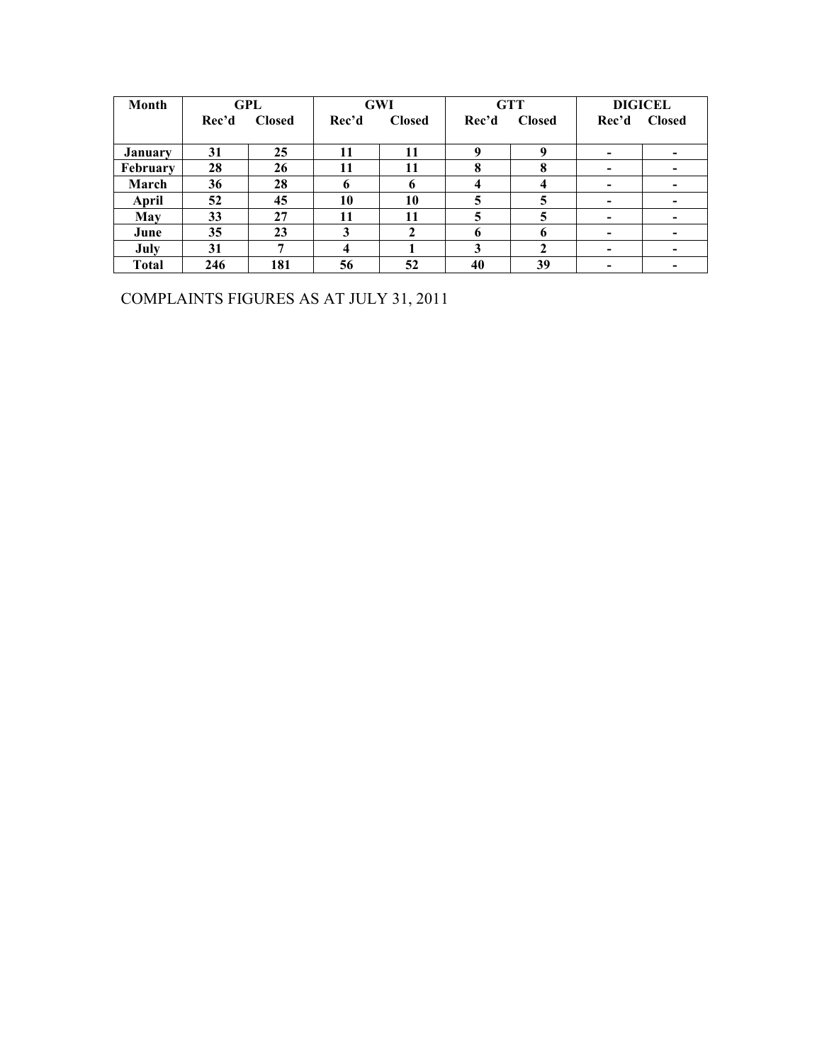| Month        | GPL   |               |       | <b>GWI</b>    |             | <b>GTT</b>    | <b>DIGICEL</b>           |                          |  |
|--------------|-------|---------------|-------|---------------|-------------|---------------|--------------------------|--------------------------|--|
|              | Rec'd | <b>Closed</b> | Rec'd | <b>Closed</b> | Rec'd       | <b>Closed</b> | Rec'd                    | <b>Closed</b>            |  |
|              |       |               |       |               |             |               |                          |                          |  |
| January      | 31    | 25            | 11    | 11            | $\mathbf 0$ | q             |                          |                          |  |
| February     | 28    | 26            | 11    | 11            | 8           | 8             | $\overline{\phantom{0}}$ | $\overline{\phantom{0}}$ |  |
| March        | 36    | 28            | 6     | 6             |             | 4             | $\overline{\phantom{a}}$ | ۰                        |  |
| April        | 52    | 45            | 10    | 10            | 5           |               |                          | $\overline{\phantom{0}}$ |  |
| May          | 33    | 27            | 11    | 11            | 5           | 5             |                          | $\overline{\phantom{0}}$ |  |
| June         | 35    | 23            | 3     | 2             | 6           | 6             | $\overline{\phantom{a}}$ | $\overline{\phantom{0}}$ |  |
| July         | 31    | ៗ             |       |               | 3           | $\mathbf 2$   | $\overline{\phantom{0}}$ | $\overline{\phantom{0}}$ |  |
| <b>Total</b> | 246   | 181           | 56    | 52            | 40          | 39            |                          |                          |  |

COMPLAINTS FIGURES AS AT JULY 31, 2011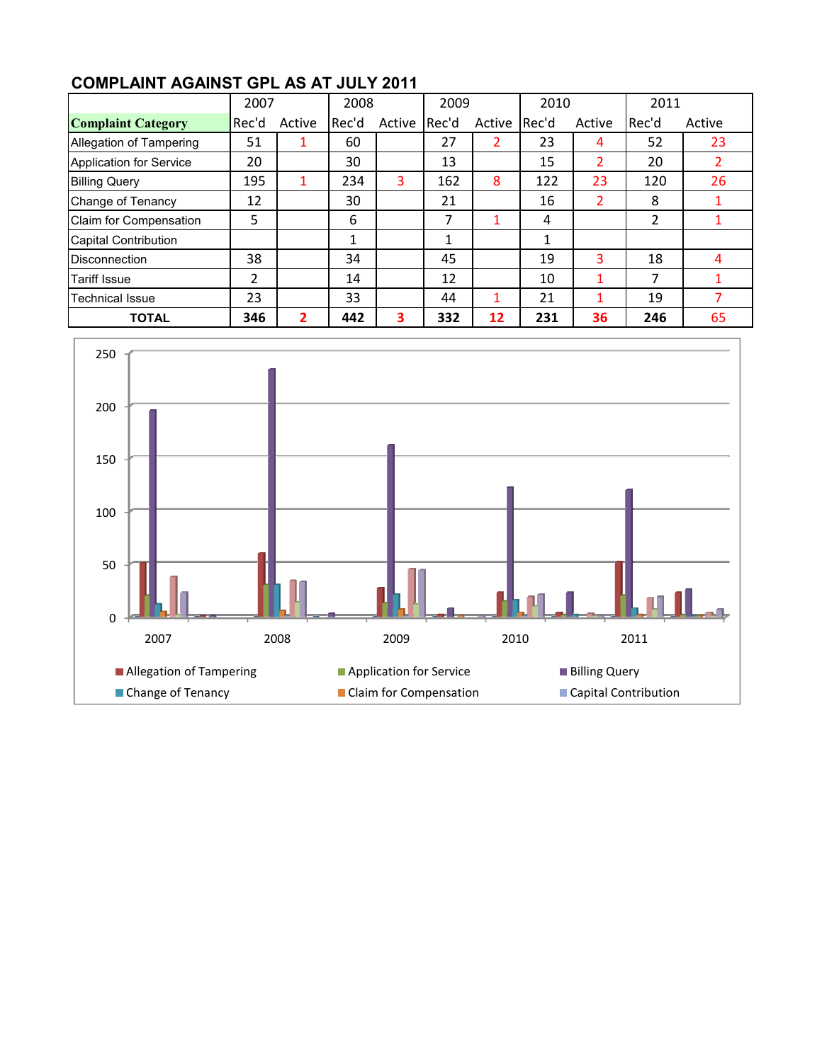## **COMPLAINT AGAINST GPL AS AT JULY 2011**

|                                | 2007    |        | 2008   |        | 2009  |        | 2010  |        | 2011  |        |
|--------------------------------|---------|--------|--------|--------|-------|--------|-------|--------|-------|--------|
| <b>Complaint Category</b>      | l Rec'd | Active | lRec'd | Active | Rec'd | Active | Rec'd | Active | Rec'd | Active |
| Allegation of Tampering        | 51      |        | 60     |        | 27    |        | 23    | 4      | 52    | 23     |
| <b>Application for Service</b> | 20      |        | 30     |        | 13    |        | 15    | 2      | 20    |        |
| <b>Billing Query</b>           | 195     |        | 234    | 3      | 162   | 8      | 122   | 23     | 120   | 26     |
| Change of Tenancy              | 12      |        | 30     |        | 21    |        | 16    | 2      | 8     |        |
| Claim for Compensation         | 5       |        | 6      |        | 7     |        | 4     |        | 2     |        |
| <b>Capital Contribution</b>    |         |        | 1      |        | 1     |        | 1     |        |       |        |
| <b>Disconnection</b>           | 38      |        | 34     |        | 45    |        | 19    | 3      | 18    |        |
| <b>Tariff Issue</b>            | 2       |        | 14     |        | 12    |        | 10    |        | 7     |        |
| <b>Technical Issue</b>         | 23      |        | 33     |        | 44    |        | 21    |        | 19    |        |
| <b>TOTAL</b>                   | 346     | 2      | 442    | 3      | 332   | 12     | 231   | 36     | 246   | 65     |

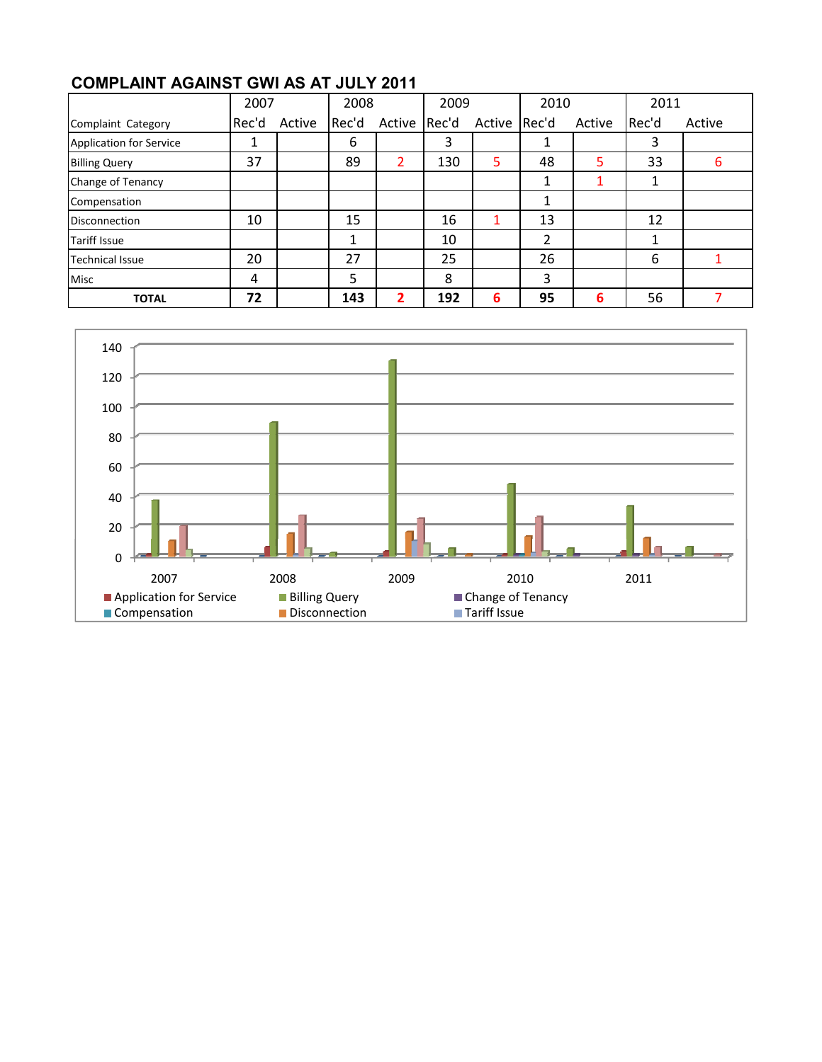## **COMPLAINT AGAINST GWI AS AT JULY 2011**

|                                | 2007  |        | 2008  |        | 2009  |              | 2010 |        | 2011  |        |
|--------------------------------|-------|--------|-------|--------|-------|--------------|------|--------|-------|--------|
| Complaint Category             | Rec'd | Active | Rec'd | Active | Rec'd | Active Rec'd |      | Active | Rec'd | Active |
| <b>Application for Service</b> |       |        | 6     |        | 3     |              |      |        | 3     |        |
| <b>Billing Query</b>           | 37    |        | 89    | 2      | 130   | 5            | 48   | 5      | 33    | 6      |
| Change of Tenancy              |       |        |       |        |       |              |      |        |       |        |
| Compensation                   |       |        |       |        |       |              | 1    |        |       |        |
| <b>Disconnection</b>           | 10    |        | 15    |        | 16    |              | 13   |        | 12    |        |
| <b>Tariff Issue</b>            |       |        |       |        | 10    |              | 2    |        |       |        |
| <b>Technical Issue</b>         | 20    |        | 27    |        | 25    |              | 26   |        | 6     |        |
| <b>Misc</b>                    | 4     |        | 5     |        | 8     |              | 3    |        |       |        |
| <b>TOTAL</b>                   | 72    |        | 143   | 2      | 192   | 6            | 95   | 6      | 56    |        |

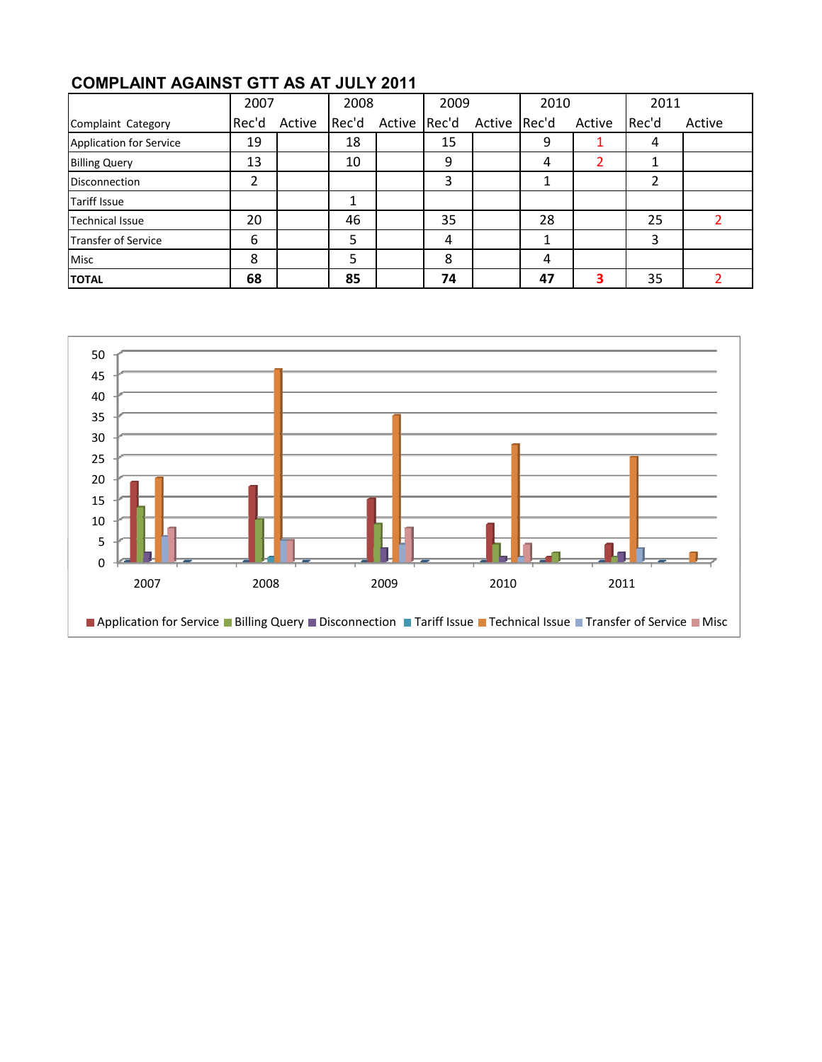|                                | 2007  |        | 2008  | 2009         |    | 2010         |    | 2011   |       |        |
|--------------------------------|-------|--------|-------|--------------|----|--------------|----|--------|-------|--------|
| Complaint Category             | Rec'd | Active | Rec'd | Active Rec'd |    | Active Rec'd |    | Active | Rec'd | Active |
| <b>Application for Service</b> | 19    |        | 18    |              | 15 |              | 9  |        | 4     |        |
| <b>Billing Query</b>           | 13    |        | 10    |              | 9  |              | 4  |        |       |        |
| Disconnection                  | ำ     |        |       |              | 3  |              |    |        |       |        |
| <b>Tariff Issue</b>            |       |        |       |              |    |              |    |        |       |        |
| <b>Technical Issue</b>         | 20    |        | 46    |              | 35 |              | 28 |        | 25    |        |
| <b>Transfer of Service</b>     | 6     |        | 5     |              | 4  |              |    |        | 3     |        |
| <b>Misc</b>                    | 8     |        | 5     |              | 8  |              | 4  |        |       |        |
| <b>TOTAL</b>                   | 68    |        | 85    |              | 74 |              | 47 | 3      | 35    |        |

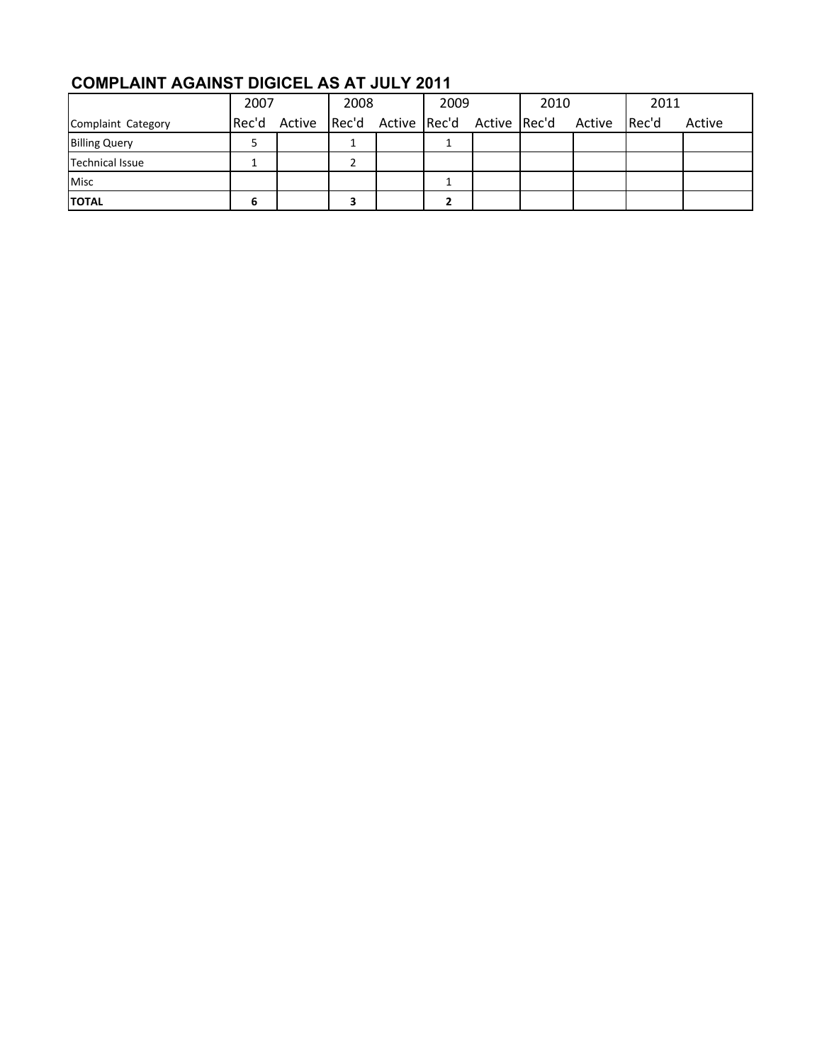## **COMPLAINT AGAINST DIGICEL AS AT JULY 2011**

|                      | 2007 |              | 2008 |  | 2009 |  | 2010                                   |  | 2011  |        |
|----------------------|------|--------------|------|--|------|--|----------------------------------------|--|-------|--------|
| Complaint Category   |      | Rec'd Active |      |  |      |  | Rec'd Active Rec'd Active Rec'd Active |  | Rec'd | Active |
| <b>Billing Query</b> |      |              |      |  |      |  |                                        |  |       |        |
| Technical Issue      |      |              |      |  |      |  |                                        |  |       |        |
| <b>Misc</b>          |      |              |      |  |      |  |                                        |  |       |        |
| <b>ITOTAL</b>        | ь    |              |      |  |      |  |                                        |  |       |        |